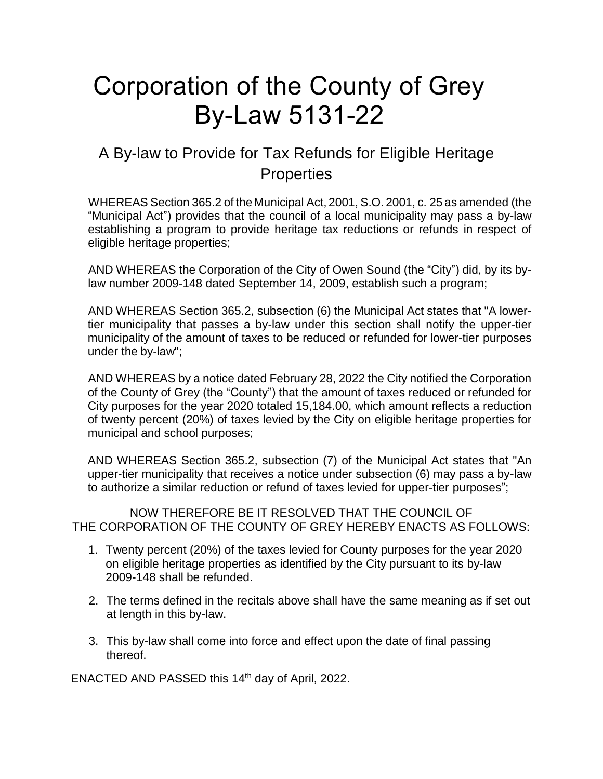## Corporation of the County of Grey By-Law 5131-22

## A By-law to Provide for Tax Refunds for Eligible Heritage **Properties**

WHEREAS Section 365.2 of the Municipal Act, 2001, S.O. 2001, c. 25 as amended (the "Municipal Act") provides that the council of a local municipality may pass a by-law establishing a program to provide heritage tax reductions or refunds in respect of eligible heritage properties;

AND WHEREAS the Corporation of the City of Owen Sound (the "City") did, by its bylaw number 2009-148 dated September 14, 2009, establish such a program;

AND WHEREAS Section 365.2, subsection (6) the Municipal Act states that "A lowertier municipality that passes a by-law under this section shall notify the upper-tier municipality of the amount of taxes to be reduced or refunded for lower-tier purposes under the by-law";

AND WHEREAS by a notice dated February 28, 2022 the City notified the Corporation of the County of Grey (the "County") that the amount of taxes reduced or refunded for City purposes for the year 2020 totaled 15,184.00, which amount reflects a reduction of twenty percent (20%) of taxes levied by the City on eligible heritage properties for municipal and school purposes;

AND WHEREAS Section 365.2, subsection (7) of the Municipal Act states that "An upper-tier municipality that receives a notice under subsection (6) may pass a by-law to authorize a similar reduction or refund of taxes levied for upper-tier purposes";

NOW THEREFORE BE IT RESOLVED THAT THE COUNCIL OF THE CORPORATION OF THE COUNTY OF GREY HEREBY ENACTS AS FOLLOWS:

- 1. Twenty percent (20%) of the taxes levied for County purposes for the year 2020 on eligible heritage properties as identified by the City pursuant to its by-law 2009-148 shall be refunded.
- 2. The terms defined in the recitals above shall have the same meaning as if set out at length in this by-law.
- 3. This by-law shall come into force and effect upon the date of final passing thereof.

ENACTED AND PASSED this 14<sup>th</sup> day of April, 2022.